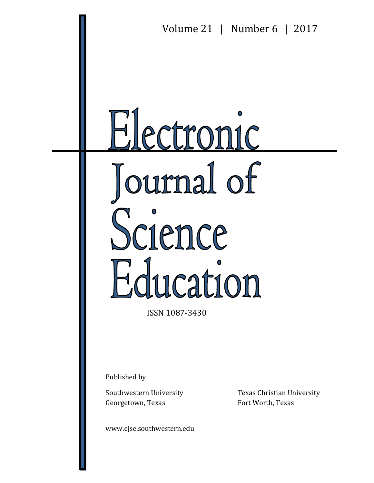

ISSN 1087-3430

Published by

Georgetown, Texas Fort Worth, Texas

www.ejse.southwestern.edu

Southwestern University Texas Christian University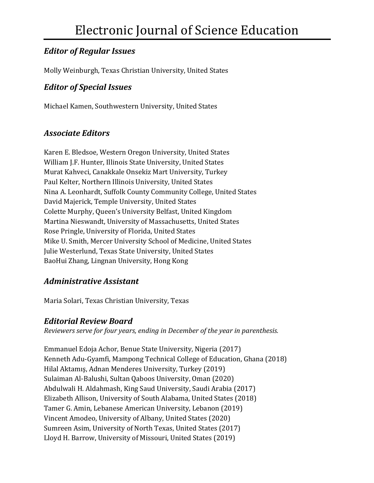## *Editor of Regular Issues*

Molly Weinburgh, Texas Christian University, United States

### *Editor of Special Issues*

Michael Kamen, Southwestern University, United States

#### *Associate Editors*

Karen E. Bledsoe, Western Oregon University, United States William J.F. Hunter, Illinois State University, United States Murat Kahveci, Canakkale Onsekiz Mart University, Turkey Paul Kelter, Northern Illinois University, United States Nina A. Leonhardt, Suffolk County Community College, United States David Majerick, Temple University, United States Colette Murphy, Queen's University Belfast, United Kingdom Martina Nieswandt, University of Massachusetts, United States Rose Pringle, University of Florida, United States Mike U. Smith, Mercer University School of Medicine, United States Julie Westerlund, Texas State University, United States BaoHui Zhang, Lingnan University, Hong Kong

### *Administrative Assistant*

Maria Solari, Texas Christian University, Texas

#### *Editorial Review Board*

*Reviewers serve for four years, ending in December of the year in parenthesis.* 

Emmanuel Edoja Achor, Benue State University, Nigeria (2017) Kenneth Adu-Gyamfi, Mampong Technical College of Education, Ghana (2018) Hilal Aktamış, Adnan Menderes University, Turkey (2019) Sulaiman Al-Balushi, Sultan Qaboos University, Oman (2020) Abdulwali H. Aldahmash, King Saud University, Saudi Arabia (2017) Elizabeth Allison, University of South Alabama, United States (2018) Tamer G. Amin, Lebanese American University, Lebanon (2019) Vincent Amodeo, University of Albany, United States (2020) Sumreen Asim, University of North Texas, United States (2017) Lloyd H. Barrow, University of Missouri, United States (2019)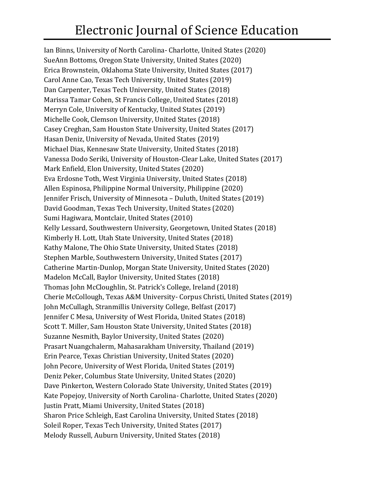# Electronic Journal of Science Education

Ian Binns, University of North Carolina- Charlotte, United States (2020) SueAnn Bottoms, Oregon State University, United States (2020) Erica Brownstein, Oklahoma State University, United States (2017) Carol Anne Cao, Texas Tech University, United States (2019) Dan Carpenter, Texas Tech University, United States (2018) Marissa Tamar Cohen, St Francis College, United States (2018) Merryn Cole, University of Kentucky, United States (2019) Michelle Cook, Clemson University, United States (2018) Casey Creghan, Sam Houston State University, United States (2017) Hasan Deniz, University of Nevada, United States (2019) Michael Dias, Kennesaw State University, United States (2018) Vanessa Dodo Seriki, University of Houston-Clear Lake, United States (2017) Mark Enfield, Elon University, United States (2020) Eva Erdosne Toth, West Virginia University, United States (2018) Allen Espinosa, Philippine Normal University, Philippine (2020) Jennifer Frisch, University of Minnesota – Duluth, United States (2019) David Goodman, Texas Tech University, United States (2020) Sumi Hagiwara, Montclair, United States (2010) Kelly Lessard, Southwestern University, Georgetown, United States (2018) Kimberly H. Lott, Utah State University, United States (2018) Kathy Malone, The Ohio State University, United States (2018) Stephen Marble, Southwestern University, United States (2017) Catherine Martin-Dunlop, Morgan State University, United States (2020) Madelon McCall, Baylor University, United States (2018) Thomas John McCloughlin, St. Patrick's College, Ireland (2018) Cherie McCollough, Texas A&M University- Corpus Christi, United States (2019) John McCullagh, Stranmillis University College, Belfast (2017) Jennifer C Mesa, University of West Florida, United States (2018) Scott T. Miller, Sam Houston State University, United States (2018) Suzanne Nesmith, Baylor University, United States (2020) Prasart Nuangchalerm, Mahasarakham University, Thailand (2019) Erin Pearce, Texas Christian University, United States (2020) John Pecore, University of West Florida, United States (2019) Deniz Peker, Columbus State University, United States (2020) Dave Pinkerton, Western Colorado State University, United States (2019) Kate Popejoy, University of North Carolina- Charlotte, United States (2020) Justin Pratt, Miami University, United States (2018) Sharon Price Schleigh, East Carolina University, United States (2018) Soleil Roper, Texas Tech University, United States (2017) Melody Russell, Auburn University, United States (2018)